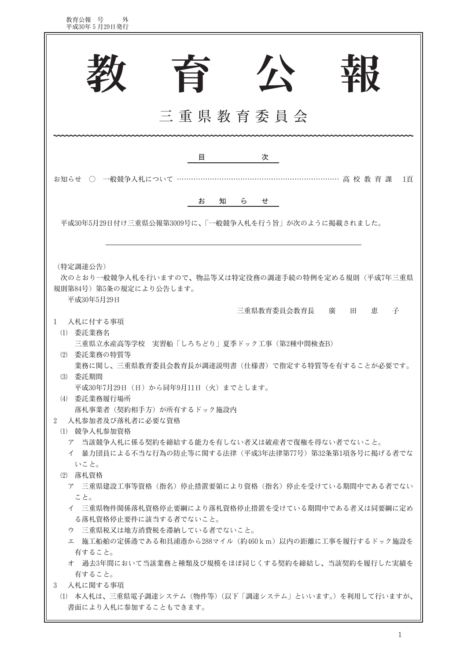| 教育公報 号<br>外<br>平成30年5月29日発行                                                                                                                                                                                                                                                         |
|-------------------------------------------------------------------------------------------------------------------------------------------------------------------------------------------------------------------------------------------------------------------------------------|
| ケ<br>旨<br>珞<br>三重県教育委員会                                                                                                                                                                                                                                                             |
| 次<br>目<br>お知らせ ○ 一般競争入札について …<br>……………… 高 校 教 育 課<br>1百<br>お<br>知<br>Ď.<br>せ<br>平成30年5月29日付け三重県公報第3009号に、「一般競争入札を行う旨」が次のように掲載されました。                                                                                                                                                 |
| (特定調達公告)<br>次のとおり一般競争入札を行いますので、物品等又は特定役務の調達手続の特例を定める規則(平成7年三重県<br>規則第84号) 第5条の規定により公告します。<br>平成30年5月29日<br>三重県教育委員会教育長<br>恵<br>子<br>廣<br>田<br>入札に付する事項<br>1                                                                                                                         |
| (1) 委託業務名<br>三重県立水産高等学校 実習船「しろちどり」夏季ドック工事(第2種中間検査B)<br>(2) 委託業務の特質等<br>業務に関し、三重県教育委員会教育長が調達説明書(仕様書)で指定する特質等を有することが必要です。<br>(3) 委託期間<br>平成30年7月29日(日)から同年9月11日(火)までとします。<br>(4) 委託業務履行場所<br>落札事業者(契約相手方)が所有するドック施設内<br>入札参加者及び落札者に必要な資格<br>$\overline{2}$                            |
| (1) 競争入札参加資格<br>ア 当該競争入札に係る契約を締結する能力を有しない者又は破産者で復権を得ない者でないこと。<br>イ 暴力団員による不当な行為の防止等に関する法律(平成3年法律第77号)第32条第1項各号に掲げる者でな<br>いこと。<br>(2) 落札資格<br>ア 三重県建設工事等資格(指名)停止措置要領により資格(指名)停止を受けている期間中である者でない<br>こと。<br>イ 三重県物件関係落札資格停止要綱により落札資格停止措置を受けている期間中である者又は同要綱に定め<br>る落札資格停止要件に該当する者でないこと。 |
| ウ 三重県税又は地方消費税を滞納している者でないこと。<br>エ 施工船舶の定係港である和具浦港から288マイル (約460km) 以内の距離に工事を履行するドック施設を<br>有すること。<br>オ 過去3年間において当該業務と種類及び規模をほぼ同じくする契約を締結し、当該契約を履行した実績を<br>有すること。<br>入札に関する事項<br>3<br>(1) 本入札は、三重県電子調達システム(物件等)(以下「調達システム」といいます。)を利用して行いますが、<br>書面により入札に参加することもできます。                   |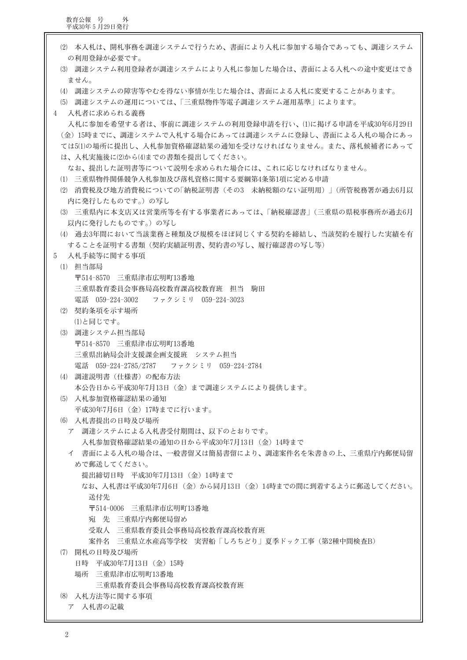教育公報 号 外<br>平成30年5月29日発行

(2) 本入札は、開札事務を調達システムで行うため、書面により入札に参加する場合であっても、調達システム の利用登録が必要です。 (3) 調達システム利用登録者が調達システムにより入札に参加した場合は、書面による入札への途中変更はでき ません。 (4) 調達システムの障害等やむを得ない事情が生じた場合は、書面による入札に変更することがあります。 (5) 調達システムの運用については、「三重県物件等電子調達システム運用基準」によります。 入札者に求められる義務  $\mathcal{A}$ 入札に参加を希望する者は、事前に調達システムの利用登録申請を行い、(1)に掲げる申請を平成30年6月29日 (金) 15時までに、調達システムで入札する場合にあっては調達システムに登録し、書面による入札の場合にあっ ては5(1)の場所に提出し、入札参加資格確認結果の通知を受けなければなりません。また、落札候補者にあって は、入札実施後に(2)から(4)までの書類を提出してください。 なお、提出した証明書等について説明を求められた場合には、これに応じなければなりません。 (1) 三重県物件関係競争入札参加及び落札資格に関する要綱第4条第1項に定める申請 (2) 消費税及び地方消費税についての「納税証明書(その3 未納税額のない証明用)」(所管税務署が過去6月以 内に発行したものです。)の写し (3) 三重県内に本支店又は営業所等を有する事業者にあっては、「納税確認書」(三重県の県税事務所が過去6月 以内に発行したものです。)の写し (4) 過去3年間において当該業務と種類及び規模をほぼ同じくする契約を締結し、当該契約を履行した実績を有 することを証明する書類(契約実績証明書、契約書の写し、履行確認書の写し等) 入札手続等に関する事項  $\overline{5}$ (1) 担当部局 〒514-8570 三重県津市広明町13番地 三重県教育委員会事務局高校教育課高校教育班 担当 駒田 ファクシミリ 059-224-3023 電話 059-224-3002 (2) 契約条項を示す場所 (1)と同じです。 (3) 調達システム担当部局 〒514-8570 三重県津市広明町13番地 三重県出納局会計支援課企画支援班 システム担当 電話 059-224-2785/2787 ファクシミリ 059-224-2784 (4) 調達説明書 (仕様書) の配布方法 本公告日から平成30年7月13日(金)まで調達システムにより提供します。 (5) 入札参加資格確認結果の通知 平成30年7月6日 (金) 17時までに行います。 (6) 入札書提出の日時及び場所 ア 調達システムによる入札書受付期間は、以下のとおりです。 入札参加資格確認結果の通知の日から平成30年7月13日 (金) 14時まで イ 書面による入札の場合は、一般書留又は簡易書留により、調達案件名を朱書きの上、三重県庁内郵便局留 めで郵送してください。 提出締切日時 平成30年7月13日 (金) 14時まで なお、入札書は平成30年7月6日 (金) から同月13日 (金) 14時までの間に到着するように郵送してください。 送付先 〒514-0006 三重県津市広明町13番地 宛 先 三重県庁内郵便局留め 受取人 三重県教育委員会事務局高校教育課高校教育班 案件名 三重県立水産高等学校 実習船「しろちどり」夏季ドック工事(第2種中間検査B) (7) 開札の日時及び場所 日時 平成30年7月13日 (金) 15時 場所 三重県津市広明町13番地 三重県教育委員会事務局高校教育課高校教育班 (8) 入札方法等に関する事項 ア 入札書の記載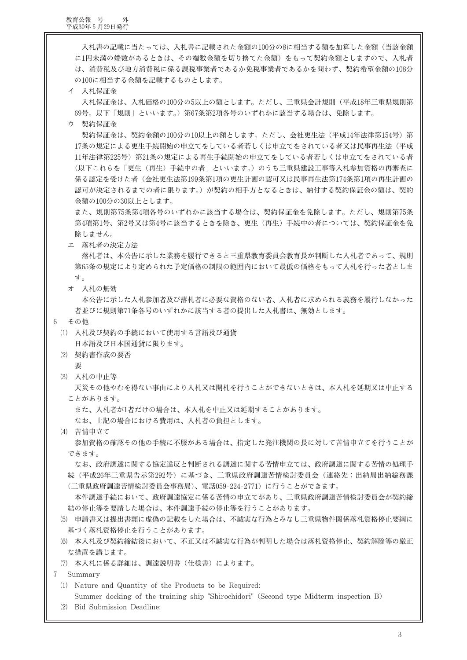教育公報 号 外<br>平成30年5月29日発行

入札書の記載に当たっては、入札書に記載された金額の100分の8に相当する額を加算した金額(当該金額 に1円未満の端数があるときは、その端数金額を切り捨てた金額)をもって契約金額としますので、入札者 は、消費税及び地方消費税に係る課税事業者であるか免税事業者であるかを問わず、契約希望金額の108分 の100に相当する金額を記載するものとします。

イ 入札保証金

入札保証金は、入札価格の100分の5以上の額とします。ただし、三重県会計規則(平成18年三重県規則第 69号。以下「規則」といいます。)第67条第2項各号のいずれかに該当する場合は、免除します。

ウ 契約保証金

契約保証金は、契約金額の100分の10以上の額とします。ただし、会社更生法(平成14年法律第154号)第 17条の規定による更生手続開始の申立てをしている者若しくは申立てをされている者又は民事再生法(平成 11年法律第225号)第21条の規定による再生手続開始の申立てをしている者若しくは申立てをされている者 (以下これらを「更生(再生)手続中の者」といいます。)のうち三重県建設工事等入札参加資格の再審査に 係る認定を受けた者(会社更生法第199条第1項の更生計画の認可又は民事再生法第174条第1項の再生計画の 認可が決定されるまでの者に限ります。)が契約の相手方となるときは、納付する契約保証金の額は、契約 金額の100分の30以上とします。

また、規則第75条第4項各号のいずれかに該当する場合は、契約保証金を免除します。ただし、規則第75条 第4項第1号、第2号又は第4号に該当するときを除き、更生(再生)手続中の者については、契約保証金を免 除しません。

エ 落札者の決定方法

落札者は、本公告に示した業務を履行できると三重県教育委員会教育長が判断した入札者であって、規則 第65条の規定により定められた予定価格の制限の範囲内において最低の価格をもって入札を行った者としま す。

オ 入札の無効

本公告に示した入札参加者及び落札者に必要な資格のない者、入札者に求められる義務を履行しなかった 者並びに規則第71条各号のいずれかに該当する者の提出した入札書は、無効とします。

- $6\overline{6}$ その他
	- (1) 入札及び契約の手続において使用する言語及び通貨

日本語及び日本国通貨に限ります。

- (2) 契約書作成の要否
	- 要
- (3) 入札の中止等

天災その他やむを得ない事由により入札又は開札を行うことができないときは、本入札を延期又は中止する ことがあります。

また、入札者が1者だけの場合は、本入札を中止又は延期することがあります。

なお、上記の場合における費用は、入札者の負担とします。

(4) 苦情申立て

参加資格の確認その他の手続に不服がある場合は、指定した発注機関の長に対して苦情申立てを行うことが できます。

なお、政府調達に関する協定違反と判断される調達に関する苦情申立ては、政府調達に関する苦情の処理手 続(平成26年三重県告示第292号)に基づき、三重県政府調達苦情検討委員会(連絡先:出納局出納総務課 (三重県政府調達苦情検討委員会事務局)、電話059-224-2771)に行うことができます。

本件調達手続において、政府調達協定に係る苦情の申立てがあり、三重県政府調達苦情検討委員会が契約締 結の停止等を要請した場合は、本件調達手続の停止等を行うことがあります。

- (5) 申請書又は提出書類に虚偽の記載をした場合は、不誠実な行為とみなし三重県物件関係落札資格停止要綱に 基づく落札資格停止を行うことがあります。
- (6) 本入札及び契約締結後において、不正又は不誠実な行為が判明した場合は落札資格停止、契約解除等の厳正 な措置を講じます。
- (7) 本入札に係る詳細は、調達説明書(仕様書)によります。

7 Summary

(1) Nature and Quantity of the Products to be Required:

Summer docking of the training ship "Shirochidori" (Second type Midterm inspection B)

(2) Bid Submission Deadline: